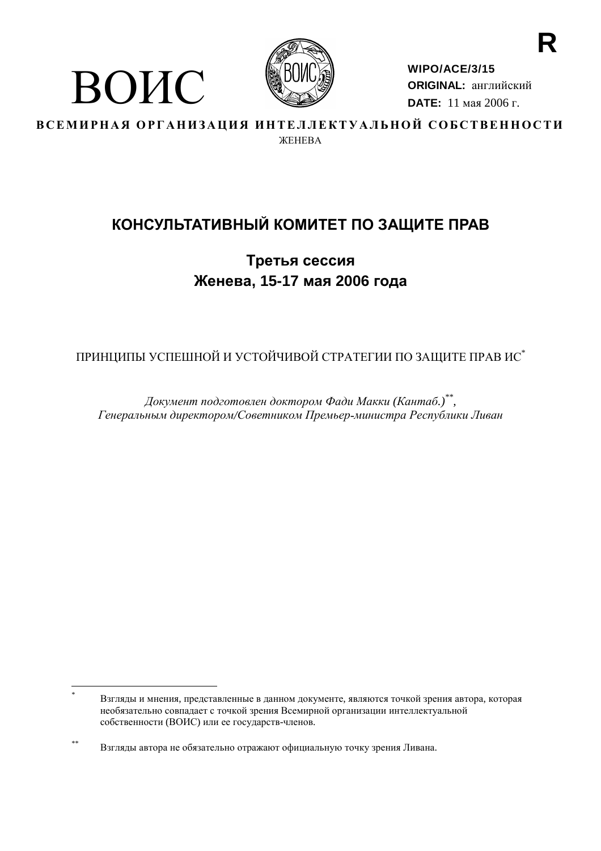

ВОИС

WIPO/ACE/3/15 **ORIGINAL: английский DATE:** 11 мая 2006 г.

ВСЕМИРНАЯ ОРГАНИЗАЦИЯ ИНТЕЛЛЕКТУАЛЬНОЙ СОБСТВЕННОСТИ **WEHERA** 

# КОНСУЛЬТАТИВНЫЙ КОМИТЕТ ПО ЗАЩИТЕ ПРАВ

Третья сессия Женева, 15-17 мая 2006 года

ПРИНЦИПЫ УСПЕШНОЙ И УСТОЙЧИВОЙ СТРАТЕГИИ ПО ЗАЩИТЕ ПРАВ ИС\*

Документ подготовлен доктором Фади Макки (Кантаб.)\*\*, Генеральным директором/Советником Премьер-министра Республики Ливан

Взгляды и мнения, представленные в данном документе, являются точкой зрения автора, которая необязательно совпадает с точкой зрения Всемирной организации интеллектуальной собственности (ВОИС) или ее государств-членов.

 $**$ Взгляды автора не обязательно отражают официальную точку зрения Ливана.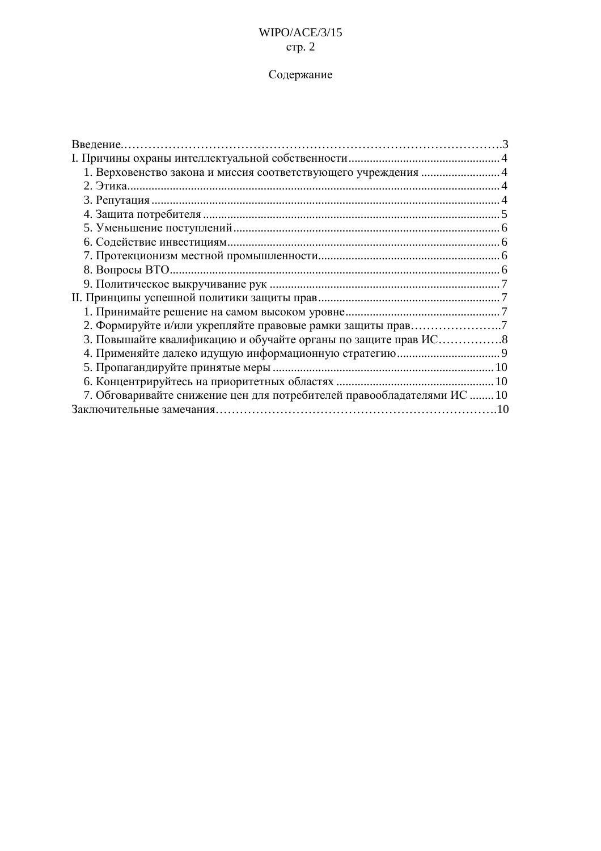# $W \times (ACE/3/15)$ стр. 2

# Содержание

| 2. Формируйте и/или укрепляйте правовые рамки защиты прав7              |  |
|-------------------------------------------------------------------------|--|
|                                                                         |  |
|                                                                         |  |
|                                                                         |  |
|                                                                         |  |
| 7. Обговаривайте снижение цен для потребителей правообладателями ИС  10 |  |
|                                                                         |  |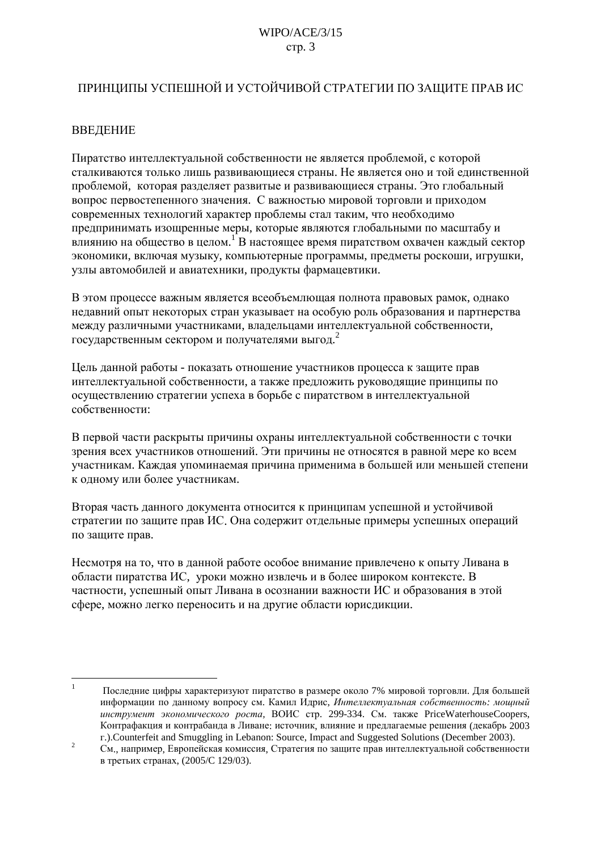# ПРИНЦИПЫ УСПЕШНОЙ И УСТОЙЧИВОЙ СТРАТЕГИИ ПО ЗАЩИТЕ ПРАВ ИС

# **ВВЕДЕНИЕ**

Пиратство интеллектуальной собственности не является проблемой, с которой сталкиваются только лишь развивающиеся страны. Не является оно и той елинственной проблемой, которая разделяет развитые и развивающиеся страны. Это глобальный вопрос первостепенного значения. С важностью мировой торговли и приходом современных технологий характер проблемы стал таким, что необходимо предпринимать изощренные меры, которые являются глобальными по масштабу и влиянию на общество в целом.<sup>1</sup> В настоящее время пиратством охвачен каждый сектор экономики, включая музыку, компьютерные программы, предметы роскоши, игрушки, узлы автомобилей и авиатехники, продукты фармацевтики.

В этом процессе важным является всеобъемлющая полнота правовых рамок, однако недавний опыт некоторых стран указывает на особую роль образования и партнерства между различными участниками, владельцами интеллектуальной собственности, государственным сектором и получателями выгод.<sup>2</sup>

Цель данной работы - показать отношение участников процесса к защите прав интеллектуальной собственности, а также предложить руководящие принципы по осуществлению стратегии успеха в борьбе с пиратством в интеллектуальной собственности·

В первой части раскрыты причины охраны интеллектуальной собственности с точки зрения всех участников отношений. Эти причины не относятся в равной мере ко всем участникам. Каждая упоминаемая причина применима в большей или меньшей степени к одному или более участникам.

Вторая часть данного документа относится к принципам успешной и устойчивой стратегии по защите прав ИС. Она содержит отдельные примеры успешных операций по защите прав.

Несмотря на то, что в данной работе особое внимание привлечено к опыту Ливана в области пиратства ИС, уроки можно извлечь и в более широком контексте. В частности, успешный опыт Ливана в осознании важности ИС и образования в этой сфере, можно легко переносить и на другие области юрисдикции.

 $\mathbf{1}$ Последние цифры характеризуют пиратство в размере около 7% мировой торговли. Для большей информации по данному вопросу см. Камил Идрис, Интеллектуальная собственность: мощный инструмент экономического роста, ВОИС стр. 299-334. См. также PriceWaterhouseCoopers, Контрафакция и контрабанда в Ливане: источник, влияние и предлагаемые решения (декабрь 2003 r.).Counterfeit and Smuggling in Lebanon: Source, Impact and Suggested Solutions (December 2003).

 $\overline{c}$ См., например, Европейская комиссия, Стратегия по защите прав интеллектуальной собственности в третьих странах, (2005/С 129/03).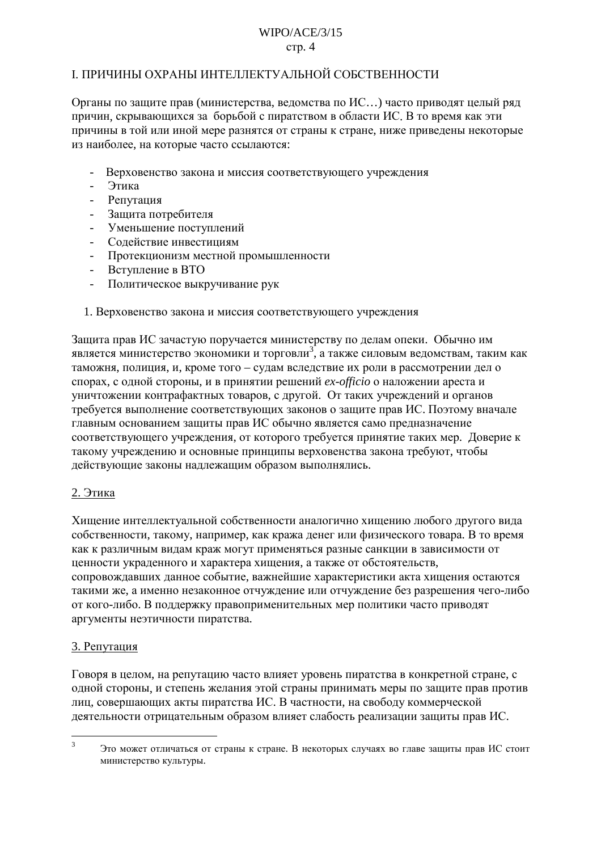#### $WIPO/ACF/3/15$  $crp. 4$

### <span id="page-3-0"></span>І. ПРИЧИНЫ ОХРАНЫ ИНТЕЛЛЕКТУАЛЬНОЙ СОБСТВЕННОСТИ

Органы по защите прав (министерства, ведомства по ИС...) часто приводят целый ряд причин, скрывающихся за борьбой с пиратством в области ИС. В то время как эти причины в той или иной мере разнятся от страны к стране, ниже приведены некоторые из наиболее, на которые часто ссылаются:

- Верховенство закона и миссия соответствующего учреждения
- Этика
- Репутация
- Защита потребителя
- Уменьшение поступлений
- Содействие инвестициям
- Протекционизм местной промышленности
- Вступление в ВТО
- Политическое выкручивание рук
- 1. Верховенство закона и миссия соответствующего учреждения

Защита прав ИС зачастую поручается министерству по делам опеки. Обычно им является министерство экономики и торговли<sup>3</sup>, а также силовым ведомствам, таким как таможня, полиция, и, кроме того - судам вследствие их роли в рассмотрении дел о спорах, с одной стороны, и в принятии решений ex-officio о наложении ареста и уничтожении контрафактных товаров, с другой. От таких учреждений и органов требуется выполнение соответствующих законов о защите прав ИС. Поэтому вначале главным основанием защиты прав ИС обычно является само предназначение соответствующего учреждения, от которого требуется принятие таких мер. Доверие к такому учреждению и основные принципы верховенства закона требуют, чтобы действующие законы надлежащим образом выполнялись.

#### 2. Этика

Хищение интеллектуальной собственности аналогично хищению любого другого вида собственности, такому, например, как кража денег или физического товара. В то время как к различным видам краж могут применяться разные санкции в зависимости от ценности украденного и характера хищения, а также от обстоятельств, сопровождавших данное событие, важнейшие характеристики акта хищения остаются такими же, а именно незаконное отчуждение или отчуждение без разрешения чего-либо от кого-либо. В поддержку правоприменительных мер политики часто приводят аргументы неэтичности пиратства.

# 3. Репутация

Говоря в целом, на репутацию часто влияет уровень пиратства в конкретной стране, с одной стороны, и степень желания этой страны принимать меры по защите прав против лиц, совершающих акты пиратства ИС. В частности, на свободу коммерческой деятельности отрицательным образом влияет слабость реализации защиты прав ИС.

 $\mathcal{R}$ Это может отличаться от страны к стране. В некоторых случаях во главе зашиты прав ИС стоит министерство культуры.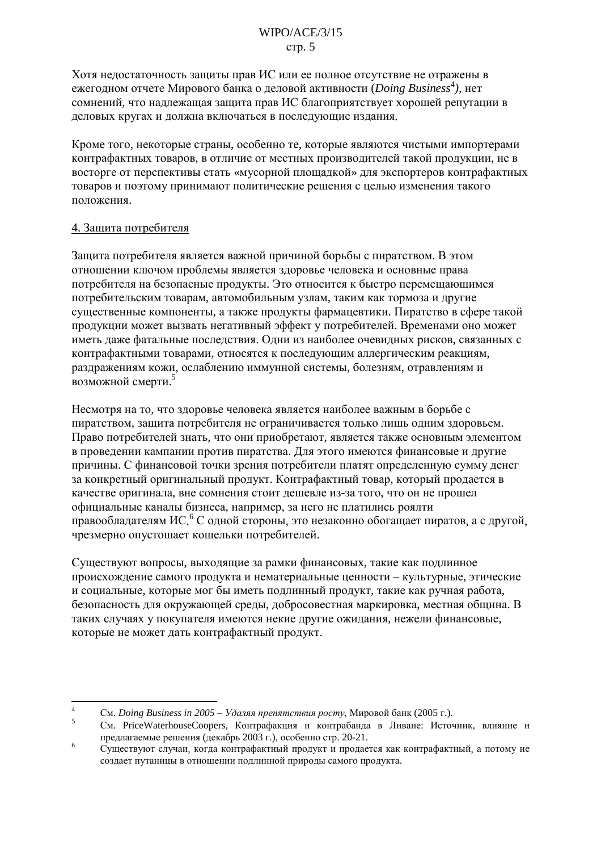<span id="page-4-0"></span>Хотя нелостаточность зашиты прав ИС или ее полное отсутствие не отражены в ежегодном отчете Мирового банка о деловой активности (*Doing Business*<sup>4</sup>), нет сомнений, что надлежащая защита прав ИС благоприятствует хорошей репутации в деловых кругах и должна включаться в последующие издания.

Кроме того, некоторые страны, особенно те, которые являются чистыми импортерами контрафактных товаров, в отличие от местных производителей такой продукции, не в восторге от перспективы стать «мусорной плошалкой» для экспортеров контрафактных товаров и поэтому принимают политические решения с целью изменения такого положения.

#### 4. Защита потребителя

Защита потребителя является важной причиной борьбы с пиратством. В этом отношении ключом проблемы является здоровье человека и основные права потребителя на безопасные продукты. Это относится к быстро перемещающимся потребительским товарам, автомобильным узлам, таким как тормоза и другие существенные компоненты, а также продукты фармацевтики. Пиратство в сфере такой продукции может вызвать негативный эффект у потребителей. Временами оно может иметь даже фатальные последствия. Одни из наиболее очевидных рисков, связанных с контрафактными товарами, относятся к последующим аллергическим реакциям, раздражениям кожи, ослаблению иммунной системы, болезням, отравлениям и возможной смерти.<sup>5</sup>

Несмотря на то, что здоровье человека является наиболее важным в борьбе с пиратством, защита потребителя не ограничивается только лишь одним здоровьем. Право потребителей знать, что они приобретают, является также основным элементом в проведении кампании против пиратства. Для этого имеются финансовые и другие причины. С финансовой точки зрения потребители платят определенную сумму денег за конкретный оригинальный продукт. Контрафактный товар, который продается в качестве оригинала, вне сомнения стоит лешевле из-за того, что он не прошел официальные каналы бизнеса, например, за него не платились роялти правообладателям ИС. С одной стороны, это незаконно обогащает пиратов, а с другой, чрезмерно опустошает кошельки потребителей.

Существуют вопросы, выходящие за рамки финансовых, такие как подлинное происхождение самого продукта и нематериальные ценности - культурные, этические и социальные, которые мог бы иметь подлинный продукт, такие как ручная работа, безопасность для окружающей среды, добросовестная маркировка, местная община. В таких случаях у покупателя имеются некие другие ожидания, нежели финансовые, которые не может дать контрафактный продукт.

 $\overline{4}$ См. Doing Business in 2005 - Удаляя препятствия росту, Мировой банк (2005 г.).

 $\overline{5}$ См. PriceWaterhouseCoopers, Контрафакция и контрабанда в Ливане: Источник, влияние и предлагаемые решения (декабрь 2003 г.), особенно стр. 20-21.

 $6\overline{6}$ Существуют случаи, когда контрафактный продукт и продается как контрафактный, а потому не создает путаницы в отношении подлинной природы самого продукта.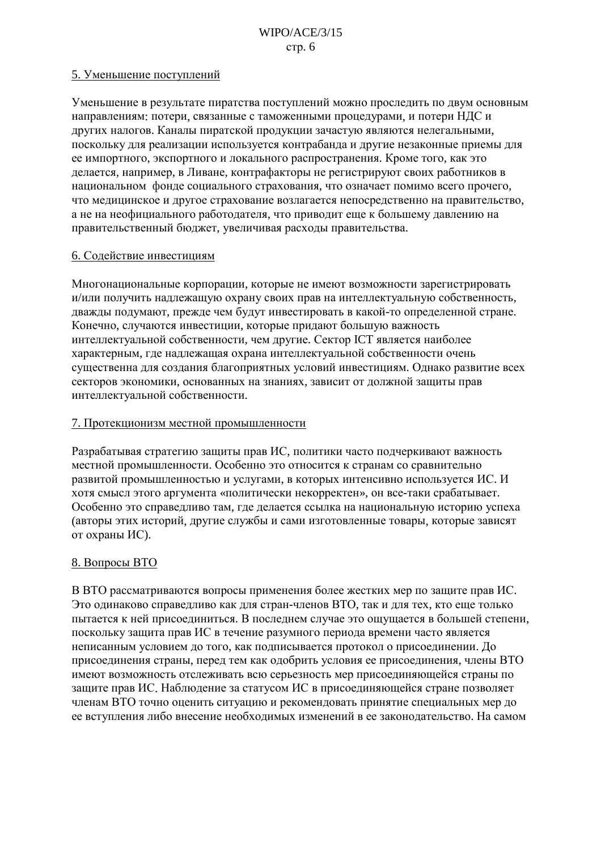#### <span id="page-5-0"></span>5. Уменьшение поступлений

Уменьшение в результате пиратства поступлений можно проследить по двум основным направлениям: потери, связанные с таможенными процедурами, и потери НДС и других налогов. Каналы пиратской продукции зачастую являются нелегальными, поскольку для реализации используется контрабанда и другие незаконные приемы для ее импортного, экспортного и локального распространения. Кроме того, как это делается, например, в Ливане, контрафакторы не регистрируют своих работников в национальном фонде социального страхования, что означает помимо всего прочего, что медицинское и другое страхование возлагается непосредственно на правительство, а не на неофициального работодателя, что приводит еще к большему давлению на правительственный бюджет, увеличивая расходы правительства.

#### 6. Содействие инвестициям

Многонациональные корпорации, которые не имеют возможности зарегистрировать и/или получить надлежащую охрану своих прав на интеллектуальную собственность, дважды подумают, прежде чем будут инвестировать в какой-то определенной стране. Конечно, случаются инвестиции, которые придают большую важность интеллектуальной собственности, чем другие. Сектор ICT является наиболее характерным, где надлежащая охрана интеллектуальной собственности очень существенна для создания благоприятных условий инвестициям. Однако развитие всех секторов экономики, основанных на знаниях, зависит от должной защиты прав интеллектуальной собственности.

### 7. Протекционизм местной промышленности

Разрабатывая стратегию защиты прав ИС, политики часто подчеркивают важность местной промышленности. Особенно это относится к странам со сравнительно развитой промышленностью и услугами, в которых интенсивно используется ИС. И хотя смысл этого аргумента «политически некорректен», он все-таки срабатывает. Особенно это справедливо там, где делается ссылка на национальную историю успеха (авторы этих историй, другие службы и сами изготовленные товары, которые зависят от охраны ИС).

# 8. Вопросы ВТО

В ВТО рассматриваются вопросы применения более жестких мер по защите прав ИС. Это одинаково справедливо как для стран-членов ВТО, так и для тех, кто еще только пытается к ней присоединиться. В последнем случае это ощущается в большей степени, поскольку защита прав ИС в течение разумного периода времени часто является неписанным условием до того, как подписывается протокол о присоединении. До присоединения страны, перед тем как одобрить условия ее присоединения, члены ВТО имеют возможность отслеживать всю серьезность мер присоединяющейся страны по защите прав ИС. Наблюдение за статусом ИС в присоединяющейся стране позволяет членам ВТО точно оценить ситуацию и рекомендовать принятие специальных мер до ее вступления либо внесение необходимых изменений в ее законодательство. На самом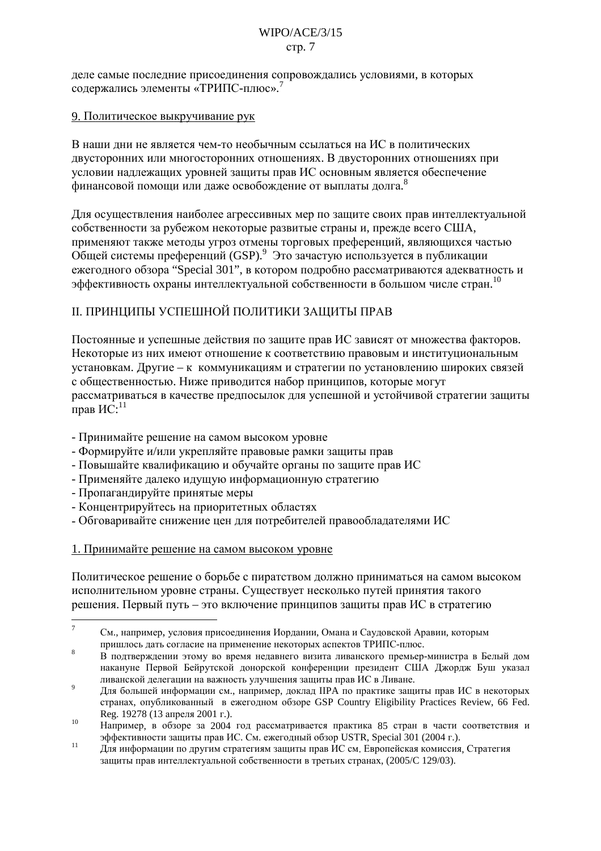### $WIPO/ACF/3/15$  $crp. 7$

<span id="page-6-0"></span>деле самые последние присоединения сопровождались условиями, в которых содержались элементы «ТРИПС-плюс».<sup>7</sup>

#### 9. Политическое выкручивание рук

В наши дни не является чем-то необычным ссылаться на ИС в политических двусторонних или многосторонних отношениях. В двусторонних отношениях при условии надлежащих уровней защиты прав ИС основным является обеспечение финансовой помощи или даже освобождение от выплаты долга.<sup>8</sup>

Для осуществления наиболее агрессивных мер по защите своих прав интеллектуальной собственности за рубежом некоторые развитые страны и, прежде всего США, применяют также методы угроз отмены торговых преференций, являющихся частью Общей системы преференций (GSP). Это зачастую используется в публикации ежегодного обзора "Special 301", в котором подробно рассматриваются адекватность и эффективность охраны интеллектуальной собственности в большом числе стран.<sup>10</sup>

# ІІ. ПРИНЦИПЫ УСПЕШНОЙ ПОЛИТИКИ ЗАЩИТЫ ПРАВ

Постоянные и успешные действия по защите прав ИС зависят от множества факторов. Некоторые из них имеют отношение к соответствию правовым и институциональным установкам. Другие - к коммуникациям и стратегии по установлению широких связей с общественностью. Ниже приводится набор принципов, которые могут рассматриваться в качестве предпосылок для успешной и устойчивой стратегии защиты прав  $MC$ :<sup>11</sup>

- Принимайте решение на самом высоком уровне
- Формируйте и/или укрепляйте правовые рамки защиты прав
- Повышайте квалификацию и обучайте органы по защите прав ИС
- Применяйте далеко идущую информационную стратегию
- Пропагандируйте принятые меры
- Концентрируйтесь на приоритетных областях
- Обговаривайте снижение цен для потребителей правообладателями ИС

# 1. Принимайте решение на самом высоком уровне

Политическое решение о борьбе с пиратством должно приниматься на самом высоком исполнительном уровне страны. Существует несколько путей принятия такого решения. Первый путь - это включение принципов защиты прав ИС в стратегию

 $\overline{7}$ См., например, условия присоединения Иордании, Омана и Саудовской Аравии, которым пришлось дать согласие на применение некоторых аспектов ТРИПС-плюс.

<sup>8</sup> В подтверждении этому во время недавнего визита ливанского премьер-министра в Белый дом накануне Первой Бейрутской донорской конференции президент США Джордж Буш указал ливанской делегации на важность улучшения защиты прав ИС в Ливане.

 $\overline{9}$ Для большей информации см., например, доклад IIPA по практике защиты прав ИС в некоторых странах, опубликованный в ежегодном обзоре GSP Country Eligibility Practices Review, 66 Fed. Reg. 19278 (13 апреля 2001 г.).

<sup>10</sup> Например, в обзоре за 2004 год рассматривается практика 85 стран в части соответствия и эффективности зашиты прав ИС. См. ежегодный обзор USTR, Special 301 (2004 г.).

 $11$ Лля информации по другим стратегиям защиты прав ИС см. Европейская комиссия. Стратегия защиты прав интеллектуальной собственности в третьих странах, (2005/С 129/03).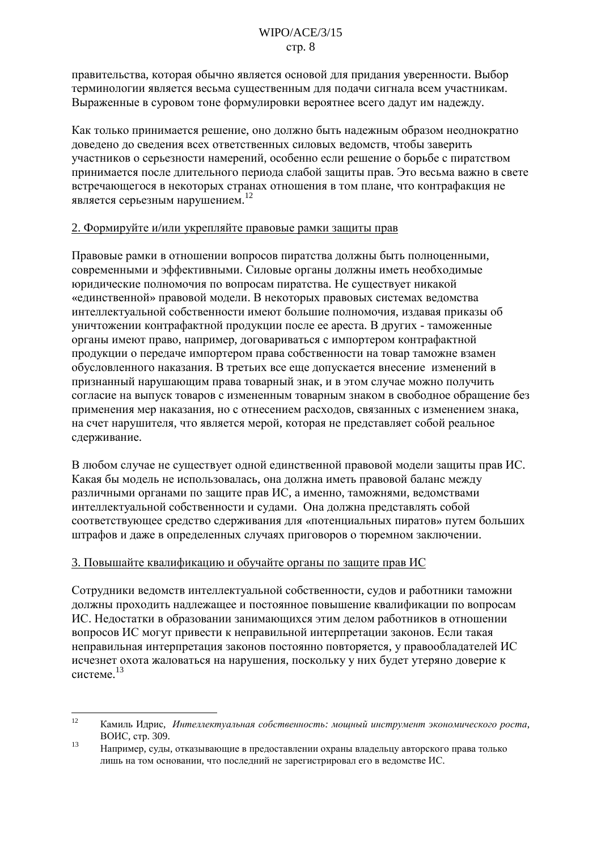правительства, которая обычно является основой для прилания уверенности. Выбор терминологии является весьма существенным для подачи сигнала всем участникам. Выраженные в суровом тоне формулировки вероятнее всего дадут им надежду.

Как только принимается решение, оно должно быть надежным образом неоднократно доведено до сведения всех ответственных силовых ведомств, чтобы заверить участников о серьезности намерений, особенно если решение о борьбе с пиратством принимается после длительного периода слабой защиты прав. Это весьма важно в свете встречающегося в некоторых странах отношения в том плане, что контрафакция не является серьезным нарушением.<sup>12</sup>

#### 2. Формируйте и/или укрепляйте правовые рамки защиты прав

Правовые рамки в отношении вопросов пиратства должны быть полноценными, современными и эффективными. Силовые органы должны иметь необходимые юрилические полномочия по вопросам пиратства. Не существует никакой «единственной» правовой модели. В некоторых правовых системах ведомства интеллектуальной собственности имеют большие полномочия, издавая приказы об уничтожении контрафактной продукции после ее ареста. В других - таможенные органы имеют право, например, договариваться с импортером контрафактной продукции о передаче импортером права собственности на товар таможне взамен обусловленного наказания. В третьих все еще допускается внесение изменений в признанный нарушающим права товарный знак, и в этом случае можно получить согласие на выпуск товаров с измененным товарным знаком в свободное обращение без применения мер наказания, но с отнесением расходов, связанных с изменением знака, на счет нарушителя, что является мерой, которая не представляет собой реальное сдерживание.

В любом случае не существует одной единственной правовой модели защиты прав ИС. Какая бы модель не использовалась, она должна иметь правовой баланс между различными органами по защите прав ИС, а именно, таможнями, ведомствами интеллектуальной собственности и судами. Она должна представлять собой соответствующее средство сдерживания для «потенциальных пиратов» путем больших штрафов и даже в определенных случаях приговоров о тюремном заключении.

# 3. Повышайте квалификацию и обучайте органы по защите прав ИС

Сотрудники ведомств интеллектуальной собственности, судов и работники таможни должны проходить надлежащее и постоянное повышение квалификации по вопросам ИС. Недостатки в образовании занимающихся этим делом работников в отношении вопросов ИС могут привести к неправильной интерпретации законов. Если такая неправильная интерпретация законов постоянно повторяется, у правообладателей ИС исчезнет охота жаловаться на нарушения, поскольку у них будет утеряно доверие к системе. $^{13}$ 

 $12$ Камиль Идрис, Интеллектуальная собственность: мощный инструмент экономического роста, ВОИС, стр. 309.

<sup>13</sup> Например, сулы, отказывающие в предоставлении охраны владельцу авторского права только лишь на том основании, что последний не зарегистрировал его в ведомстве ИС.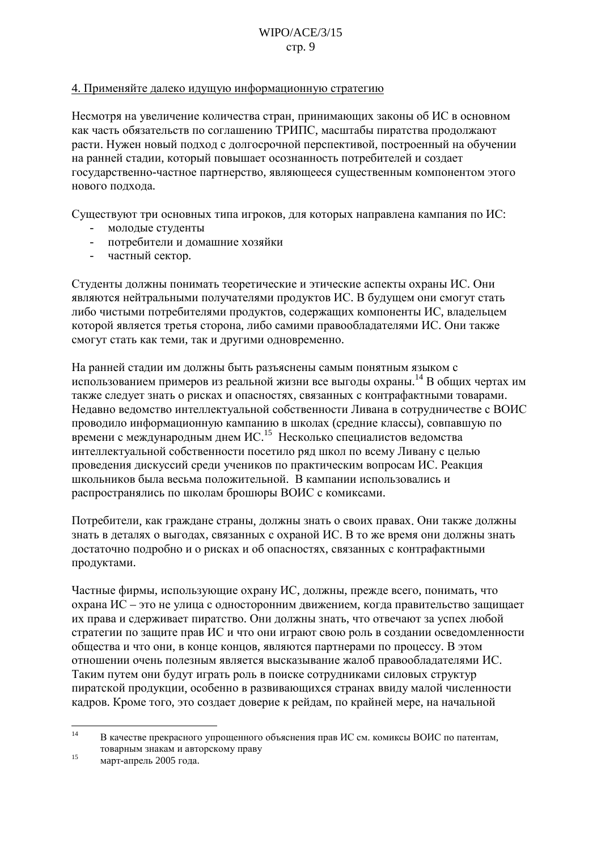#### <span id="page-8-0"></span>4. Применяйте далеко идущую информационную стратегию

Несмотря на увеличение количества стран, принимающих законы об ИС в основном как часть обязательств по соглашению ТРИПС, масштабы пиратства продолжают расти. Нужен новый подход с долгосрочной перспективой, построенный на обучении на ранней стадии, который повышает осознанность потребителей и создает государственно-частное партнерство, являющееся существенным компонентом этого нового подхода.

Существуют три основных типа игроков, для которых направлена кампания по ИС:

- молодые студенты
- потребители и домашние хозяйки
- частный сектор.  $\sim$

Студенты должны понимать теоретические и этические аспекты охраны ИС. Они являются нейтральными получателями продуктов ИС. В будущем они смогут стать либо чистыми потребителями продуктов, содержащих компоненты ИС, владельцем которой является третья сторона, либо самими правообладателями ИС. Они также смогут стать как теми, так и другими одновременно.

На ранней стадии им должны быть разъяснены самым понятным языком с использованием примеров из реальной жизни все выгоды охраны.<sup>14</sup> В общих чертах им также следует знать о рисках и опасностях, связанных с контрафактными товарами. Недавно ведомство интеллектуальной собственности Ливана в сотрудничестве с ВОИС проводило информационную кампанию в школах (средние классы), совпавшую по времени с международным днем ИС.<sup>15</sup> Несколько специалистов ведомства интеллектуальной собственности посетило ряд школ по всему Ливану с целью проведения дискуссий среди учеников по практическим вопросам ИС. Реакция школьников была весьма положительной. В кампании использовались и распространялись по школам брошюры ВОИС с комиксами.

Потребители, как граждане страны, должны знать о своих правах. Они также должны знать в деталях о выгодах, связанных с охраной ИС. В то же время они должны знать достаточно подробно и о рисках и об опасностях, связанных с контрафактными продуктами.

Частные фирмы, использующие охрану ИС, должны, прежде всего, понимать, что охрана ИС - это не улица с односторонним движением, когда правительство защищает их права и сдерживает пиратство. Они должны знать, что отвечают за успех любой стратегии по защите прав ИС и что они играют свою роль в создании осведомленности общества и что они, в конце концов, являются партнерами по процессу. В этом отношении очень полезным является высказывание жалоб правообладателями ИС. Таким путем они будут играть роль в поиске сотрудниками силовых структур пиратской продукции, особенно в развивающихся странах ввиду малой численности кадров. Кроме того, это создает доверие к рейдам, по крайней мере, на начальной

 $14$ В качестве прекрасного упрошенного объяснения прав ИС см. комиксы ВОИС по патентам. товарным знакам и авторскому праву

 $15$ март-апрель 2005 года.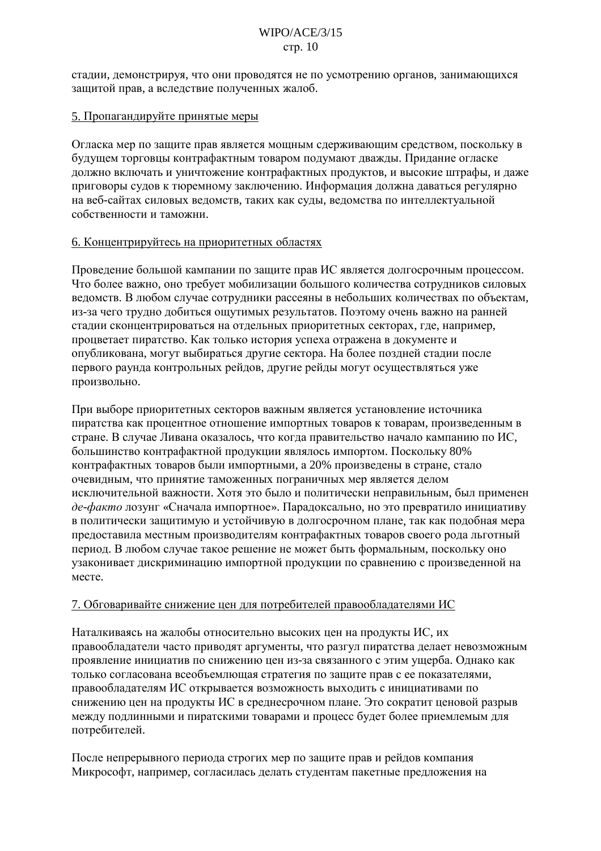<span id="page-9-0"></span>стадии, демонстрируя, что они проводятся не по усмотрению органов, занимающихся защитой прав, а вследствие полученных жалоб.

#### 5. Пропагандируйте принятые меры

Огласка мер по защите прав является мощным сдерживающим средством, поскольку в будущем торговцы контрафактным товаром подумают дважды. Придание огласке лолжно включать и уничтожение контрафактных продуктов, и высокие штрафы, и даже приговоры судов к тюремному заключению. Информация должна даваться регулярно на веб-сайтах силовых ведомств, таких как суды, ведомства по интеллектуальной собственности и таможни.

#### 6. Концентрируйтесь на приоритетных областях

Проведение большой кампании по защите прав ИС является долгосрочным процессом. Что более важно, оно требует мобилизации большого количества сотрудников силовых ведомств. В любом случае сотрудники рассеяны в небольших количествах по объектам, из-за чего трудно добиться ощутимых результатов. Поэтому очень важно на ранней стадии сконцентрироваться на отдельных приоритетных секторах, где, например, процветает пиратство. Как только история успеха отражена в документе и опубликована, могут выбираться другие сектора. На более поздней стадии после первого раунда контрольных рейдов, другие рейды могут осуществляться уже произвольно.

При выборе приоритетных секторов важным является установление источника пиратства как процентное отношение импортных товаров к товарам, произведенным в стране. В случае Ливана оказалось, что когда правительство начало кампанию по ИС, большинство контрафактной продукции являлось импортом. Поскольку 80% контрафактных товаров были импортными, а 20% произведены в стране, стало очевидным, что принятие таможенных пограничных мер является делом исключительной важности. Хотя это было и политически неправильным, был применен де-факто лозунг «Сначала импортное». Парадоксально, но это превратило инициативу в политически защитимую и устойчивую в долгосрочном плане, так как подобная мера предоставила местным производителям контрафактных товаров своего рода льготный период. В любом случае такое решение не может быть формальным, поскольку оно узаконивает дискриминацию импортной продукции по сравнению с произведенной на месте.

#### 7. Обговаривайте снижение цен для потребителей правообладателями ИС

Наталкиваясь на жалобы относительно высоких цен на продукты ИС, их правообладатели часто приводят аргументы, что разгул пиратства делает невозможным проявление инициатив по снижению цен из-за связанного с этим ущерба. Однако как только согласована всеобъемлющая стратегия по защите прав с ее показателями, правообладателям ИС открывается возможность выходить с инициативами по снижению цен на продукты ИС в среднесрочном плане. Это сократит ценовой разрыв между подлинными и пиратскими товарами и процесс будет более приемлемым для потребителей.

После непрерывного периода строгих мер по защите прав и рейдов компания Микрософт, например, согласилась делать студентам пакетные предложения на